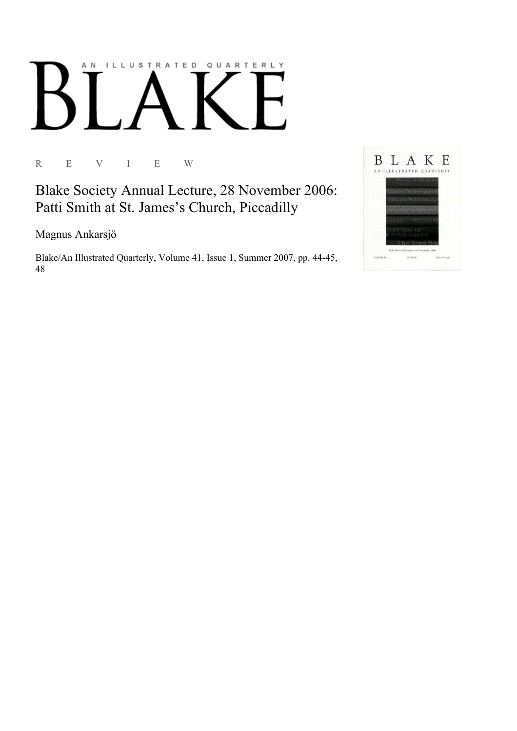# AN ILLUSTRATED QUARTERLY

R E V I E W

Blake Society Annual Lecture, 28 November 2006: Patti Smith at St. James's Church, Piccadilly

Magnus Ankarsjö

Blake/An Illustrated Quarterly, Volume 41, Issue 1, Summer 2007, pp. 44-45, 48

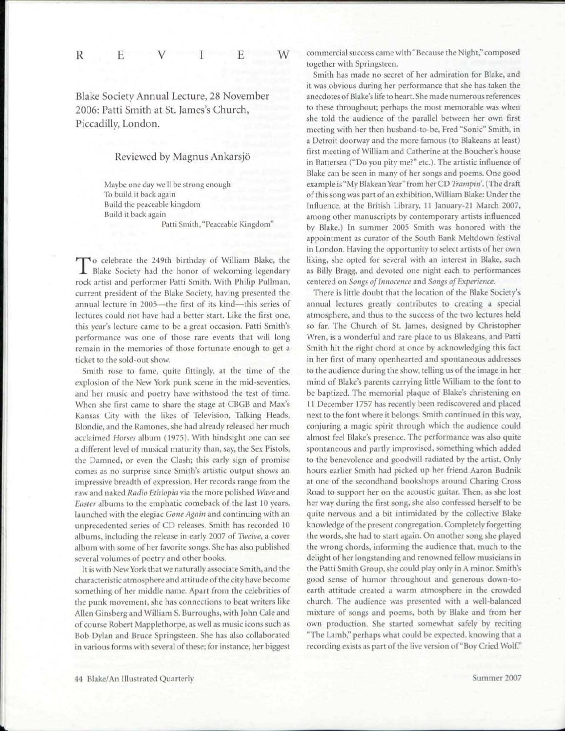R E V I E

Blake Society Annual Lecture, 28 November 2006: Patti Smith at St. James's Church, Piccadilly, London.

W

## Reviewed by Magnus Ankarsjo

Maybe one day we'll be strong enough To build it back again Build the peaceable kingdom Build it back again Patti Smith, "Peaceable Kingdom"

To celebrate the 249th birthday of William Blake, the Blake Society had the honor of welcoming legendary o celebrate the 249th birthday of William Blake, the rock artist and performer Patti Smith. With Philip Pullman, current president of the Blake Society, having presented the annual lecture in 2005—the first of its kind—this series of lectures could not have had a better start. Like the first one, this year's lecture came to be a great occasion. Patti Smith's performance was one of those rare events that will long remain in the memories of those fortunate enough to get a ticket to the sold-out show.

Smith rose to fame, quite fittingly, at the time of the explosion of the New York punk scene in the mid-seventies, and her music and poetry have withstood the test of time. When she first came to share the stage at CBGB and Max's Kansas City with the likes of Television, Talking Heads, Blondie, and the Ramones, she had already released her much acclaimed *Horses* album (1975). With hindsight one can see a different level of musical maturity than, say, the Sex Pistols, the Damned, or even the Clash; this early sign of promise comes as no surprise since Smith's artistic output shows an impressive breadth of expression. Her records range from the raw and naked *Radio Ethiopia* via the more polished *Wave* and *Easter* albums to the emphatic comeback of the last 10 years, launched with the elegiac *Gone Again* and continuing with an unprecedented series of CD releases. Smith has recorded 10 albums, including the release in early 2007 of *Twelve,* a cover album with some of her favorite songs. She has also published several volumes of poetry and other books.

It is with New York that we naturally associate Smith, and the characteristic atmosphere and attitude of the city have become something of her middle name. Apart from the celebrities of the punk movement, she has connections to beat writers like Allen Ginsberg and William S. Burroughs, with John Cale and of course Robert Mapplethorpe, as well as music icons such as Bob Dylan and Bruce Springsteen. She has also collaborated in various forms with several of these; for instance, her biggest

commercial success came with "Because the Night," composed together with Springsteen.

Smith has made no secret of her admiration for Blake, and it was obvious during her performance that she has taken the anecdotes of Blake's life to heart. She made numerous references to these throughout; perhaps the most memorable was when she told the audience of the parallel between her own first meeting with her then husband-to-be, Fred "Sonic" Smith, in a Detroit doorway and the more famous (to Blakeans at least) first meeting of William and Catherine at the Boucher's house in Battersea ("Do you pity me?" etc.). The artistic influence of Blake can be seen in many of her songs and poems. One good example is"My Blakean Year" from her CD *Trampin.* (The draft of this song was part of an exhibition, William Blake: Under the Influence, at the British Library, 11 January-21 March 2007, among other manuscripts by contemporary artists influenced by Blake.) In summer 2005 Smith was honored with the appointment as curator of the South Bank Meltdown festival in London. Having the opportunity to select artists of her own liking, she opted for several with an interest in Blake, such as Billy Bragg, and devoted one night each to performances centered on *Songs of Innocence* and *Songs of Experience.* 

There is little doubt that the location of the Blake Society's annual lectures greatly contributes to creating a special atmosphere, and thus to the success of the two lectures held so far. The Church of St. James, designed by Christopher Wren, is a wonderful and rare place to us Blakeans, and Patti Smith hit the right chord at once by acknowledging this fact in her first of many openhearted and spontaneous addresses to the audience during the show, telling us of the image in her mind of Blake's parents carrying little William to the font to be baptized. The memorial plaque of Blake's christening on 11 December 1757 has recently been rediscovered and placed next to the font where it belongs. Smith continued in this way, conjuring a magic spirit through which the audience could almost feel Blake's presence. The performance was also quite spontaneous and partly improvised, something which added to the benevolence and goodwill radiated by the artist. Only hours earlier Smith had picked up her friend Aaron Budnik at one of the secondhand bookshops around Charing Cross Road to support her on the acoustic guitar. Then, as she lost her way during the first song, she also confessed herself to be quite nervous and a bit intimidated by the collective Blake knowledge of the present congregation. Completely forgetting the words, she had to start again. On another song she played the wrong chords, informing the audience that, much to the delight of her longstanding and renowned fellow musicians in the Patti Smith Croup, she could plav only in A minor. Smith's good sense of humor throughout and generous down-toearth attitude created a warm atmosphere in the crowded church. The audience was presented with a well-balanced mixture of songs and poems, both bv Blake and from her own production. She started somewhat safely by reciting "The Lamb," perhaps what could be expected, knowing that a recording exists as part of the live version of "Boy Cried Wolf."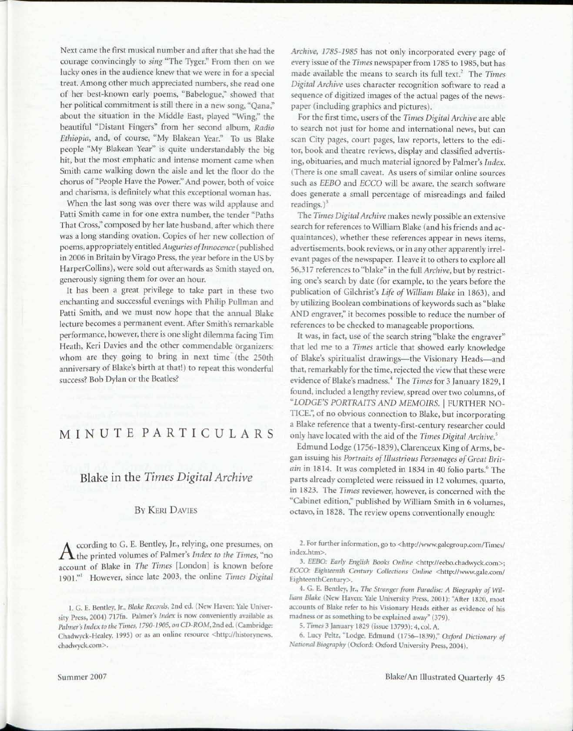Next came the first musical number and after that she had the courage convincingly to *sing* "The Tyger." From then on we lucky ones in the audience knew that we were in for a special treat. Among other much appreciated numbers, she read one of her best-known early poems, "Babelogue," showed that her political commitment is still there in a new song, "Qana," about the situation in the Middle East, played "Wing," the beautiful "Distant Fingers" from her second album, *Radio Ethiopia,* and, of course, "My Blakean Year." To us Blake people "My Blakean Year" is quite understandably the big hit, but the most emphatic and intense moment came when Smith came walking down the aisle and let the floor do the chorus of "People Have the Power." And power, both of voice and charisma, is definitely what this exceptional woman has.

When the last song was over there was wild applause and Patti Smith came in for one extra number, the tender "Paths That Cross," composed by her late husband, after which there was a long standing ovation. Copies of her new collection of poems, appropriately entitled *Auguries of Innocence* (published in 2006 in Britain by Virago Press, the year before in the US by HarperCollins), were sold out afterwards as Smith stayed on, generously signing them for over an hour.

It has been a great privilege to take part in these two enchanting and successful evenings with Philip Pullman and Patti Smith, and we must now hope that the annual Blake lecture becomes a permanent event. After Smith's remarkable performance, however, there is one slight dilemma facing Tim Heath, Keri Davies and the other commendable organizers: whom are they going to bring in next time (the 250th anniversary of Blake's birth at that!) to repeat this wonderful success? Bob Dylan or the Beatles?

# MINUT E PARTICULAR S

# Blake in the *Times Digital Archive*

### BY KERI DAVIES

A ccording to G. E. Bentley, Jr., relying, one presumes, on<br>the printed volumes of Palmer's *Index to the Times*, "no<br> $T_1$ ccording to G. E. Bentley, Jr., relying, one presumes, on account of Blake in *The Times* [London] is known before 1901."' However, since late 2003, the online *Times Digital* 

*Archive, 1785-1985* has not only incorporated every page of every issue of the *Times* newspaper from 1785 to 1985, but has made available the means to search its full text.<sup>2</sup> The Times *Digital Archive* uses character recognition software to read a sequence of digitized images of the actual pages of the newspaper (including graphics and pictures).

For the first time, users of the *Times Digital Archive* are able to search not just for home and international news, but can scan City pages, court pages, law reports, letters to the editor, book and theatre reviews, display and classified advertising, obituaries, and much material ignored by Palmer's *Index.*  (There is one small caveat. As users of similar online sources such as *EEBO* and *ECCO* will be aware, the search software does generate a small percentage of misreadings and failed readings.)<sup>3</sup>

The *Times Digital Archive* makes newly possible an extensive search for references to William Blake (and his friends and acquaintances), whether these references appear in news items, advertisements, book reviews, or in any other apparently irrelevant pages of the newspaper. I leave it to others to explore all 56,317 references to "blake" in the full *Archive,* but by restricting one's search by date (for example, to the years before the publication of Gilchrist's *Life of William Blake* in 1863), and by utilizing Boolean combinations of keywords such as "blake AND engraver," it becomes possible to reduce the number of references to be checked to manageable proportions.

It was, in fact, use of the search string "blake the engraver" that led me to a *Times* article that showed early knowledge of Blake's spiritualist drawings—the Visionary Heads—and that, remarkably for the time, rejected the view that these were evidence of Blake's madness.<sup>4</sup> The *Times* for 3 January 1829,1 found, included a lengthy review, spread over two columns, of *"LODGE'S PORTRAITS AND MEMOIRS.* | FURTHER NO-TICE.", of no obvious connection to Blake, but incorporating a Blake reference that a twenty-first-century researcher could only have located with the aid of the *Times Digital Archive.<sup>5</sup>*

Edmund Lodge (1756-1839), Clarenceux King of Arms, began issuing his *Portraits of Illustrious Personages of Great Britain* in 1814. It was completed in 1834 in 40 folio parts." The parts already completed were reissued in 12 volumes, quarto, in 1823. The *Times* reviewer, however, is concerned with the "Cabinet edition," published by William Smith in 6 volumes, octavo, in 1828. The review opens conventionally enough:

2. For further information, go to <http://www.galegroup.com/Times/ index.htm>.

3. *EEBO: Early English Books Online* <http://eebo.chadwyck.com>; *ECCO: Eighteenth Century Collections Online* <http://www.gale.com/ EighteenthCentury>.

4. G. E. Bentley, Jr., *The Stranger from Paradise: A Biography of William Blake* (New Haven: Yale University Press, 2001): "After 1820, most accounts of Blake refer to his Visionary Heads either as evidence of his madness or as something to be explained away" (379).

5. *Times* 3 January 1829 (issue 13793): 4, col. A.

6. Lucy Peltz, "Lodge, Edmund (1756-1839)," *Oxford Dictionary of Sational Biography* (Oxford: Oxford University Press, 2004).

<sup>1.</sup> G. B. Bentley, )r., *Blake Records,* 2nd ed. (New Haven: Yale University Press, 2004) 717fn. Palmer's *Index* is now conveniently available as *Palmer'\* Index to the Times, 1790-1905, on CD-ROM,* 2nd ed. (Cambridge: Chadwyck-Healey, 1995) or as an online resource <http://historynews. chadwyck.com>.